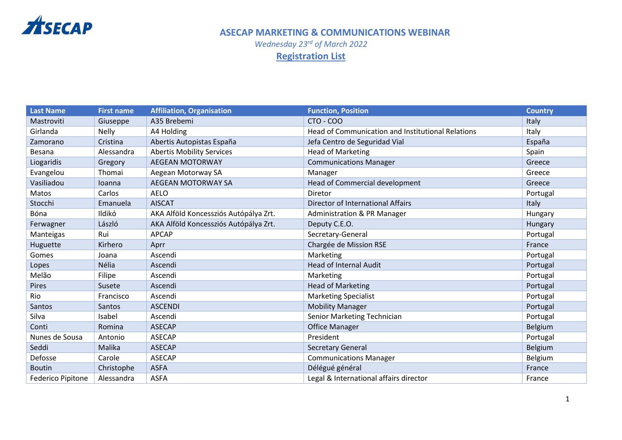

*Wednesday 23rd of March 2022* **Registration List** 

| <b>Last Name</b>         | <b>First name</b> | <b>Affiliation, Organisation</b>      | <b>Function, Position</b>                         | <b>Country</b> |
|--------------------------|-------------------|---------------------------------------|---------------------------------------------------|----------------|
| Mastroviti               | Giuseppe          | A35 Brebemi                           | $CTO - COO$                                       | Italy          |
| Girlanda                 | <b>Nelly</b>      | A4 Holding                            | Head of Communication and Institutional Relations | Italy          |
| Zamorano                 | Cristina          | Abertis Autopistas España             | Jefa Centro de Seguridad Vial                     | España         |
| Besana                   | Alessandra        | <b>Abertis Mobility Services</b>      | <b>Head of Marketing</b>                          | Spain          |
| Liogaridis               | Gregory           | <b>AEGEAN MOTORWAY</b>                | <b>Communications Manager</b>                     | Greece         |
| Evangelou                | Thomai            | Aegean Motorway SA                    | Manager                                           | Greece         |
| Vasiliadou               | loanna            | <b>AEGEAN MOTORWAY SA</b>             | Head of Commercial development                    | Greece         |
| Matos                    | Carlos            | <b>AELO</b>                           | Diretor                                           | Portugal       |
| Stocchi                  | Emanuela          | <b>AISCAT</b>                         | Director of International Affairs                 | Italy          |
| Bóna                     | Ildikó            | AKA Alföld Koncessziós Autópálya Zrt. | Administration & PR Manager                       | Hungary        |
| Ferwagner                | László            | AKA Alföld Koncessziós Autópálya Zrt. | Deputy C.E.O.                                     | Hungary        |
| Manteigas                | Rui               | <b>APCAP</b>                          | Secretary-General                                 | Portugal       |
| Huguette                 | Kirhero           | Aprr                                  | Chargée de Mission RSE                            | France         |
| Gomes                    | Joana             | Ascendi                               | Marketing                                         | Portugal       |
| Lopes                    | Nélia             | Ascendi                               | <b>Head of Internal Audit</b>                     | Portugal       |
| Melão                    | Filipe            | Ascendi                               | Marketing                                         | Portugal       |
| Pires                    | Susete            | Ascendi                               | <b>Head of Marketing</b>                          | Portugal       |
| Rio                      | Francisco         | Ascendi                               | <b>Marketing Specialist</b>                       | Portugal       |
| Santos                   | Santos            | <b>ASCENDI</b>                        | <b>Mobility Manager</b>                           | Portugal       |
| Silva                    | Isabel            | Ascendi                               | Senior Marketing Technician                       | Portugal       |
| Conti                    | Romina            | <b>ASECAP</b>                         | <b>Office Manager</b>                             | Belgium        |
| Nunes de Sousa           | Antonio           | <b>ASECAP</b>                         | President                                         | Portugal       |
| Seddi                    | Malika            | <b>ASECAP</b>                         | <b>Secretary General</b>                          | Belgium        |
| Defosse                  | Carole            | <b>ASECAP</b>                         | <b>Communications Manager</b>                     | Belgium        |
| <b>Boutin</b>            | Christophe        | <b>ASFA</b>                           | Délégué général                                   | France         |
| <b>Federico Pipitone</b> | Alessandra        | <b>ASFA</b>                           | Legal & International affairs director            | France         |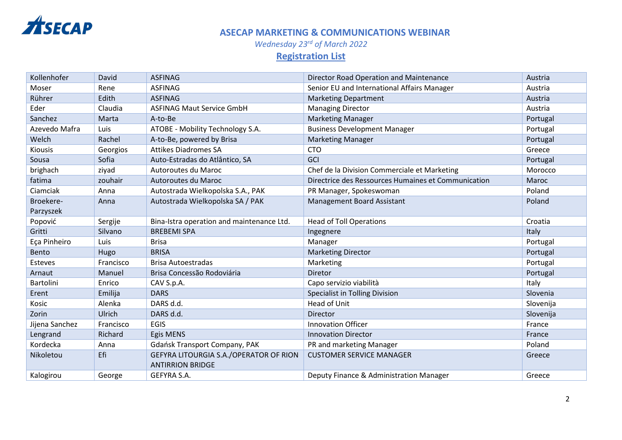

*Wednesday 23rd of March 2022*

# **Registration List**

| Kollenhofer    | David     | <b>ASFINAG</b>                                                    | Director Road Operation and Maintenance             | Austria   |
|----------------|-----------|-------------------------------------------------------------------|-----------------------------------------------------|-----------|
| Moser          | Rene      | <b>ASFINAG</b>                                                    | Senior EU and International Affairs Manager         | Austria   |
| Rührer         | Edith     | <b>ASFINAG</b>                                                    | <b>Marketing Department</b>                         | Austria   |
| Eder           | Claudia   | <b>ASFINAG Maut Service GmbH</b>                                  | <b>Managing Director</b>                            | Austria   |
| Sanchez        | Marta     | A-to-Be                                                           | <b>Marketing Manager</b>                            | Portugal  |
| Azevedo Mafra  | Luis      | ATOBE - Mobility Technology S.A.                                  | <b>Business Development Manager</b>                 | Portugal  |
| Welch          | Rachel    | A-to-Be, powered by Brisa                                         | <b>Marketing Manager</b>                            | Portugal  |
| <b>Kiousis</b> | Georgios  | <b>Attikes Diadromes SA</b>                                       | <b>CTO</b>                                          | Greece    |
| Sousa          | Sofia     | Auto-Estradas do Atlântico, SA                                    | GCI                                                 | Portugal  |
| brighach       | ziyad     | Autoroutes du Maroc                                               | Chef de la Division Commerciale et Marketing        | Morocco   |
| fatima         | zouhair   | Autoroutes du Maroc                                               | Directrice des Ressources Humaines et Communication | Maroc     |
| Ciamciak       | Anna      | Autostrada Wielkopolska S.A., PAK                                 | PR Manager, Spokeswoman                             | Poland    |
| Broekere-      | Anna      | Autostrada Wielkopolska SA / PAK                                  | <b>Management Board Assistant</b>                   | Poland    |
| Parzyszek      |           |                                                                   |                                                     |           |
| Popović        | Sergije   | Bina-Istra operation and maintenance Ltd.                         | <b>Head of Toll Operations</b>                      | Croatia   |
| Gritti         | Silvano   | <b>BREBEMI SPA</b>                                                | Ingegnere                                           | Italy     |
| Eça Pinheiro   | Luis      | <b>Brisa</b>                                                      | Manager                                             | Portugal  |
| Bento          | Hugo      | <b>BRISA</b>                                                      | <b>Marketing Director</b>                           | Portugal  |
| <b>Esteves</b> | Francisco | <b>Brisa Autoestradas</b>                                         | Marketing                                           | Portugal  |
| Arnaut         | Manuel    | Brisa Concessão Rodoviária                                        | Diretor                                             | Portugal  |
| Bartolini      | Enrico    | CAV S.p.A.                                                        | Capo servizio viabilità                             | Italy     |
| Erent          | Emilija   | <b>DARS</b>                                                       | Specialist in Tolling Division                      | Slovenia  |
| Kosic          | Alenka    | DARS d.d.                                                         | <b>Head of Unit</b>                                 | Slovenija |
| Zorin          | Ulrich    | DARS d.d.                                                         | Director                                            | Slovenija |
| Jijena Sanchez | Francisco | <b>EGIS</b>                                                       | <b>Innovation Officer</b>                           | France    |
| Lengrand       | Richard   | Egis MENS                                                         | <b>Innovation Director</b>                          | France    |
| Kordecka       | Anna      | Gdańsk Transport Company, PAK                                     | PR and marketing Manager                            | Poland    |
| Nikoletou      | Efi       | GEFYRA LITOURGIA S.A./OPERATOR OF RION<br><b>ANTIRRION BRIDGE</b> | <b>CUSTOMER SERVICE MANAGER</b>                     | Greece    |
| Kalogirou      | George    | GEFYRA S.A.                                                       | Deputy Finance & Administration Manager             | Greece    |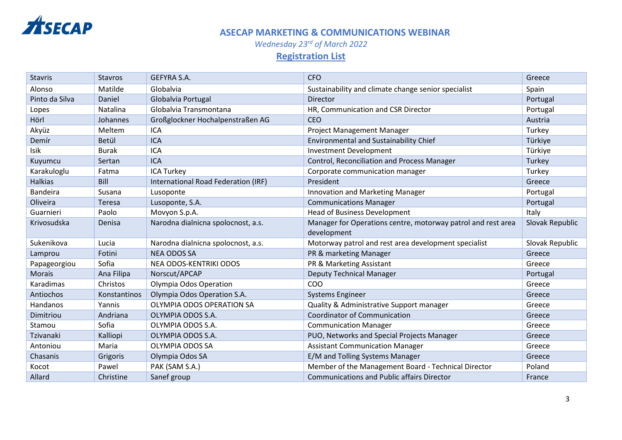

*Wednesday 23rd of March 2022*

# **Registration List**

| <b>Stavris</b>   | <b>Stavros</b>      | GEFYRA S.A.                         | <b>CFO</b>                                                   | Greece          |
|------------------|---------------------|-------------------------------------|--------------------------------------------------------------|-----------------|
| Alonso           | Matilde             | Globalvia                           | Sustainability and climate change senior specialist          | Spain           |
| Pinto da Silva   | Daniel              | Globalvia Portugal                  | Director                                                     | Portugal        |
| Lopes            | Natalina            | Globalvia Transmontana              | HR, Communication and CSR Director                           | Portugal        |
| Hörl             | Johannes            | Großglockner Hochalpenstraßen AG    | <b>CEO</b>                                                   | Austria         |
| Akyüz            | Meltem              | <b>ICA</b>                          | Project Management Manager                                   | Turkey          |
| Demír            | Betül               | <b>ICA</b>                          | <b>Environmental and Sustainability Chief</b>                | Türkiye         |
| Isik             | <b>Burak</b>        | <b>ICA</b>                          | <b>Investment Development</b>                                | Türkiye         |
| Kuyumcu          | Sertan              | <b>ICA</b>                          | Control, Reconciliation and Process Manager                  | Turkey          |
| Karakuloglu      | Fatma               | <b>ICA Turkey</b>                   | Corporate communication manager                              | Turkey          |
| <b>Halkias</b>   | Bill                | International Road Federation (IRF) | President                                                    | Greece          |
| <b>Bandeira</b>  | Susana              | Lusoponte                           | Innovation and Marketing Manager                             | Portugal        |
| Oliveira         | Teresa              | Lusoponte, S.A.                     | <b>Communications Manager</b>                                | Portugal        |
| Guarnieri        | Paolo               | Movyon S.p.A.                       | <b>Head of Business Development</b>                          | Italy           |
| Krivosudska      | Denisa              | Narodna dialnicna spolocnost, a.s.  | Manager for Operations centre, motorway patrol and rest area | Slovak Republic |
|                  |                     |                                     | development                                                  |                 |
| Sukenikova       | Lucia               | Narodna dialnicna spolocnost, a.s.  | Motorway patrol and rest area development specialist         | Slovak Republic |
|                  |                     |                                     |                                                              |                 |
| Lamprou          | Fotini              | <b>NEA ODOS SA</b>                  | PR & marketing Manager                                       | Greece          |
| Papageorgiou     | Sofia               | NEA ODOS-KENTRIKI ODOS              | PR & Marketing Assistant                                     | Greece          |
| <b>Morais</b>    | Ana Filipa          | Norscut/APCAP                       | <b>Deputy Technical Manager</b>                              | Portugal        |
| Karadimas        | Christos            | Olympia Odos Operation              | COO                                                          | Greece          |
| Antiochos        | <b>Konstantinos</b> | Olympia Odos Operation S.A.         | <b>Systems Engineer</b>                                      | Greece          |
| Handanos         | Yannis              | OLYMPIA ODOS OPERATION SA           | Quality & Administrative Support manager                     | Greece          |
| Dimitriou        | Andriana            | OLYMPIA ODOS S.A.                   | <b>Coordinator of Communication</b>                          | Greece          |
| Stamou           | Sofia               | OLYMPIA ODOS S.A.                   | <b>Communication Manager</b>                                 | Greece          |
| <b>Tzivanaki</b> | Kalliopi            | OLYMPIA ODOS S.A.                   | PUO, Networks and Special Projects Manager                   | Greece          |
| Antoniou         | Maria               | OLYMPIA ODOS SA                     | <b>Assistant Communication Manager</b>                       | Greece          |
| Chasanis         | Grigoris            | Olympia Odos SA                     | E/M and Tolling Systems Manager                              | Greece          |
| Kocot            | Pawel               | PAK (SAM S.A.)                      | Member of the Management Board - Technical Director          | Poland          |